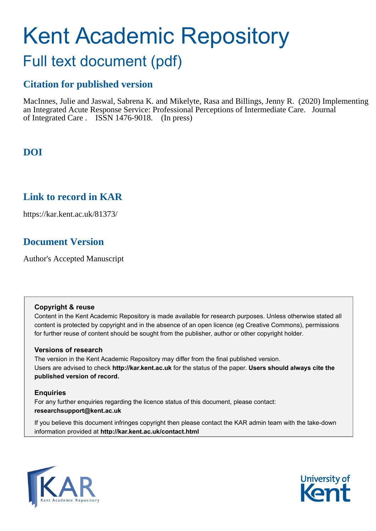# Kent Academic Repository

## Full text document (pdf)

## **Citation for published version**

MacInnes, Julie and Jaswal, Sabrena K. and Mikelyte, Rasa and Billings, Jenny R. (2020) Implementing an Integrated Acute Response Service: Professional Perceptions of Intermediate Care. Journal of Integrated Care . ISSN 1476-9018. (In press)

## **DOI**

### **Link to record in KAR**

https://kar.kent.ac.uk/81373/

## **Document Version**

Author's Accepted Manuscript

#### **Copyright & reuse**

Content in the Kent Academic Repository is made available for research purposes. Unless otherwise stated all content is protected by copyright and in the absence of an open licence (eg Creative Commons), permissions for further reuse of content should be sought from the publisher, author or other copyright holder.

#### **Versions of research**

The version in the Kent Academic Repository may differ from the final published version. Users are advised to check **http://kar.kent.ac.uk** for the status of the paper. **Users should always cite the published version of record.**

#### **Enquiries**

For any further enquiries regarding the licence status of this document, please contact: **researchsupport@kent.ac.uk**

If you believe this document infringes copyright then please contact the KAR admin team with the take-down information provided at **http://kar.kent.ac.uk/contact.html**



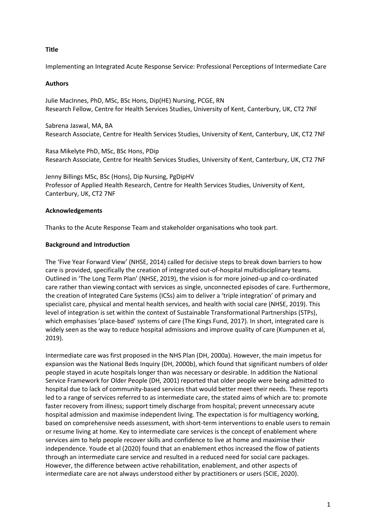#### **Title**

Implementing an Integrated Acute Response Service: Professional Perceptions of Intermediate Care

#### **Authors**

Julie MacInnes, PhD, MSc, BSc Hons, Dip(HE) Nursing, PCGE, RN Research Fellow, Centre for Health Services Studies, University of Kent, Canterbury, UK, CT2 7NF

Sabrena Jaswal, MA, BA Research Associate, Centre for Health Services Studies, University of Kent, Canterbury, UK, CT2 7NF

Rasa Mikelyte PhD, MSc, BSc Hons, PDip Research Associate, Centre for Health Services Studies, University of Kent, Canterbury, UK, CT2 7NF

Jenny Billings MSc, BSc (Hons), Dip Nursing, PgDipHV Professor of Applied Health Research, Centre for Health Services Studies, University of Kent, Canterbury, UK, CT2 7NF

#### **Acknowledgements**

Thanks to the Acute Response Team and stakeholder organisations who took part.

#### **Background and Introduction**

The 'Five Year Forward View' (NHSE, 2014) called for decisive steps to break down barriers to how care is provided, specifically the creation of integrated out-of-hospital multidisciplinary teams. Outlined in 'The Long Term Plan' (NHSE, 2019), the vision is for more joined-up and co-ordinated care rather than viewing contact with services as single, unconnected episodes of care. Furthermore, the creation of Integrated Care Systems (ICSs) aim to deliver a 'triple integration' of primary and specialist care, physical and mental health services, and health with social care (NHSE, 2019). This level of integration is set within the context of Sustainable Transformational Partnerships (STPs), which emphasises 'place-based' systems of care (The Kings Fund, 2017). In short, integrated care is widely seen as the way to reduce hospital admissions and improve quality of care (Kumpunen et al, 2019).

Intermediate care was first proposed in the NHS Plan (DH, 2000a). However, the main impetus for expansion was the National Beds Inquiry (DH, 2000b), which found that significant numbers of older people stayed in acute hospitals longer than was necessary or desirable. In addition the National Service Framework for Older People (DH, 2001) reported that older people were being admitted to hospital due to lack of community-based services that would better meet their needs. These reports led to a range of services referred to as intermediate care, the stated aims of which are to: promote faster recovery from illness; support timely discharge from hospital; prevent unnecessary acute hospital admission and maximise independent living. The expectation is for multiagency working, based on comprehensive needs assessment, with short-term interventions to enable users to remain or resume living at home. Key to intermediate care services is the concept of enablement where services aim to help people recover skills and confidence to live at home and maximise their independence. Youde et al (2020) found that an enablement ethos increased the flow of patients through an intermediate care service and resulted in a reduced need for social care packages. However, the difference between active rehabilitation, enablement, and other aspects of intermediate care are not always understood either by practitioners or users (SCIE, 2020).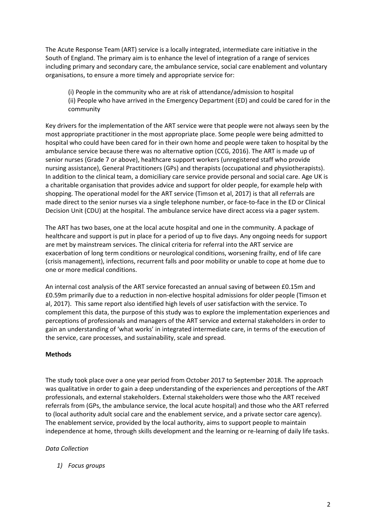The Acute Response Team (ART) service is a locally integrated, intermediate care initiative in the South of England. The primary aim is to enhance the level of integration of a range of services including primary and secondary care, the ambulance service, social care enablement and voluntary organisations, to ensure a more timely and appropriate service for:

(i) People in the community who are at risk of attendance/admission to hospital (ii) People who have arrived in the Emergency Department (ED) and could be cared for in the community

Key drivers for the implementation of the ART service were that people were not always seen by the most appropriate practitioner in the most appropriate place. Some people were being admitted to hospital who could have been cared for in their own home and people were taken to hospital by the ambulance service because there was no alternative option (CCG, 2016). The ART is made up of senior nurses (Grade 7 or above), healthcare support workers (unregistered staff who provide nursing assistance), General Practitioners (GPs) and therapists (occupational and physiotherapists). In addition to the clinical team, a domiciliary care service provide personal and social care. Age UK is a charitable organisation that provides advice and support for older people, for example help with shopping. The operational model for the ART service (Timson et al, 2017) is that all referrals are made direct to the senior nurses via a single telephone number, or face-to-face in the ED or Clinical Decision Unit (CDU) at the hospital. The ambulance service have direct access via a pager system.

The ART has two bases, one at the local acute hospital and one in the community. A package of healthcare and support is put in place for a period of up to five days. Any ongoing needs for support are met by mainstream services. The clinical criteria for referral into the ART service are exacerbation of long term conditions or neurological conditions, worsening frailty, end of life care (crisis management), infections, recurrent falls and poor mobility or unable to cope at home due to one or more medical conditions.

An internal cost analysis of the ART service forecasted an annual saving of between £0.15m and £0.59m primarily due to a reduction in non-elective hospital admissions for older people (Timson et al, 2017). This same report also identified high levels of user satisfaction with the service. To complement this data, the purpose of this study was to explore the implementation experiences and perceptions of professionals and managers of the ART service and external stakeholders in order to gain an understanding of 'what works' in integrated intermediate care, in terms of the execution of the service, care processes, and sustainability, scale and spread.

#### **Methods**

The study took place over a one year period from October 2017 to September 2018. The approach was qualitative in order to gain a deep understanding of the experiences and perceptions of the ART professionals, and external stakeholders. External stakeholders were those who the ART received referrals from (GPs, the ambulance service, the local acute hospital) and those who the ART referred to (local authority adult social care and the enablement service, and a private sector care agency). The enablement service, provided by the local authority, aims to support people to maintain independence at home, through skills development and the learning or re-learning of daily life tasks.

#### *Data Collection*

*1) Focus groups*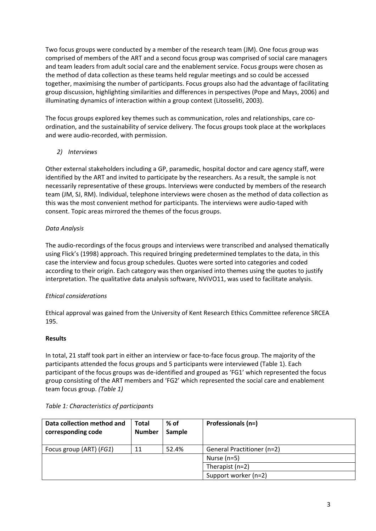Two focus groups were conducted by a member of the research team (JM). One focus group was comprised of members of the ART and a second focus group was comprised of social care managers and team leaders from adult social care and the enablement service. Focus groups were chosen as the method of data collection as these teams held regular meetings and so could be accessed together, maximising the number of participants. Focus groups also had the advantage of facilitating group discussion, highlighting similarities and differences in perspectives (Pope and Mays, 2006) and illuminating dynamics of interaction within a group context (Litosseliti, 2003).

The focus groups explored key themes such as communication, roles and relationships, care coordination, and the sustainability of service delivery. The focus groups took place at the workplaces and were audio-recorded, with permission.

#### *2) Interviews*

Other external stakeholders including a GP, paramedic, hospital doctor and care agency staff, were identified by the ART and invited to participate by the researchers. As a result, the sample is not necessarily representative of these groups. Interviews were conducted by members of the research team (JM, SJ, RM). Individual, telephone interviews were chosen as the method of data collection as this was the most convenient method for participants. The interviews were audio-taped with consent. Topic areas mirrored the themes of the focus groups.

#### *Data Analysis*

The audio-recordings of the focus groups and interviews were transcribed and analysed thematically using Flick's (1998) approach. This required bringing predetermined templates to the data, in this case the interview and focus group schedules. Quotes were sorted into categories and coded according to their origin. Each category was then organised into themes using the quotes to justify interpretation. The qualitative data analysis software, NViVO11, was used to facilitate analysis.

#### *Ethical considerations*

Ethical approval was gained from the University of Kent Research Ethics Committee reference SRCEA 195.

#### **Results**

In total, 21 staff took part in either an interview or face-to-face focus group. The majority of the participants attended the focus groups and 5 participants were interviewed (Table 1). Each participant of the focus groups was de-identified and grouped as 'FG1' which represented the focus group consisting of the ART members and 'FG2' which represented the social care and enablement team focus group. *(Table 1)*

| Data collection method and<br>corresponding code | <b>Total</b><br><b>Number</b> | $%$ of<br>Sample | Professionals (n=)                |
|--------------------------------------------------|-------------------------------|------------------|-----------------------------------|
| Focus group (ART) (FG1)                          | 11                            | 52.4%            | <b>General Practitioner (n=2)</b> |
|                                                  |                               |                  | Nurse $(n=5)$                     |
|                                                  |                               |                  | Therapist $(n=2)$                 |
|                                                  |                               |                  | Support worker (n=2)              |

#### *Table 1: Characteristics of participants*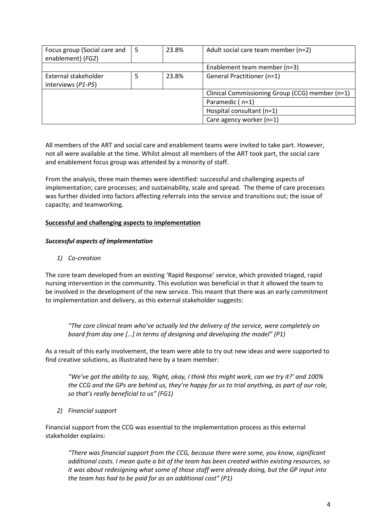| Focus group (Social care and<br>enablement) (FG2) | 5 | 23.8% | Adult social care team member (n=2)             |
|---------------------------------------------------|---|-------|-------------------------------------------------|
|                                                   |   |       | Enablement team member (n=3)                    |
| External stakeholder<br>interviews (P1-P5)        | 5 | 23.8% | General Practitioner (n=1)                      |
|                                                   |   |       | Clinical Commissioning Group (CCG) member (n=1) |
|                                                   |   |       | Paramedic (n=1)                                 |
|                                                   |   |       | Hospital consultant (n=1)                       |
|                                                   |   |       | Care agency worker (n=1)                        |

All members of the ART and social care and enablement teams were invited to take part. However, not all were available at the time. Whilst almost all members of the ART took part, the social care and enablement focus group was attended by a minority of staff.

From the analysis, three main themes were identified: successful and challenging aspects of implementation; care processes; and sustainability, scale and spread. The theme of care processes was further divided into factors affecting referrals into the service and transitions out; the issue of capacity; and teamworking.

#### **Successful and challenging aspects to implementation**

#### *Successful aspects of implementation*

*1) Co-creation* 

The core team developed from an existing 'Rapid Response' service, which provided triaged, rapid nursing intervention in the community. This evolution was beneficial in that it allowed the team to be involved in the development of the new service. This meant that there was an early commitment to implementation and delivery, as this external stakeholder suggests:

*"The core clinical team who've actually led the delivery of the service, were completely on board from day one […] in terms of designing and developing the model" (P1)*

As a result of this early involvement, the team were able to try out new ideas and were supported to find creative solutions, as illustrated here by a team member:

*"We've got the ability to say, 'Right, okay, I think this might work, can we try it?' and 100% the CCG and the GPs are behind us, they're happy for us to trial anything, as part of our role, so that's really beneficial to us" (FG1)*

*2) Financial support*

Financial support from the CCG was essential to the implementation process as this external stakeholder explains:

*"There was financial support from the CCG, because there were some, you know, significant additional costs. I mean quite a bit of the team has been created within existing resources, so it was about redesigning what some of those staff were already doing, but the GP input into the team has had to be paid for as an additional cost" (P1)*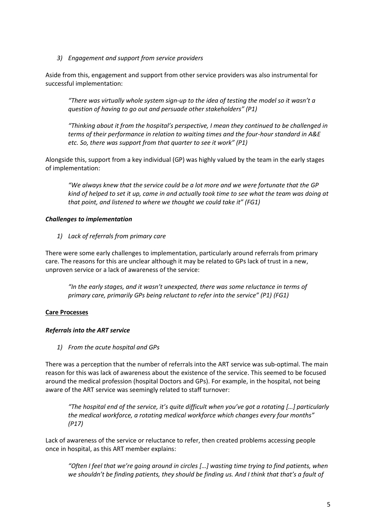*3) Engagement and support from service providers*

Aside from this, engagement and support from other service providers was also instrumental for successful implementation:

*"There was virtually whole system sign-up to the idea of testing the model so it wasn't a question of having to go out and persuade other stakeholders" (P1)*

*"Thinking about it from the hospital's perspective, I mean they continued to be challenged in terms of their performance in relation to waiting times and the four-hour standard in A&E etc. So, there was support from that quarter to see it work" (P1)*

Alongside this, support from a key individual (GP) was highly valued by the team in the early stages of implementation:

*"We always knew that the service could be a lot more and we were fortunate that the GP kind of helped to set it up, came in and actually took time to see what the team was doing at that point, and listened to where we thought we could take it" (FG1)*

#### *Challenges to implementation*

*1) Lack of referrals from primary care*

There were some early challenges to implementation, particularly around referrals from primary care. The reasons for this are unclear although it may be related to GPs lack of trust in a new, unproven service or a lack of awareness of the service:

*"In the early stages, and it wasn't unexpected, there was some reluctance in terms of primary care, primarily GPs being reluctant to refer into the service" (P1) (FG1)*

#### **Care Processes**

#### *Referrals into the ART service*

*1) From the acute hospital and GPs*

There was a perception that the number of referrals into the ART service was sub-optimal. The main reason for this was lack of awareness about the existence of the service. This seemed to be focused around the medical profession (hospital Doctors and GPs). For example, in the hospital, not being aware of the ART service was seemingly related to staff turnover:

*"The hospital end of the service, it's quite difficult when you've got a rotating […] particularly the medical workforce, a rotating medical workforce which changes every four months" (P17)*

Lack of awareness of the service or reluctance to refer, then created problems accessing people once in hospital, as this ART member explains:

*"Often I feel that we're going around in circles […] wasting time trying to find patients, when we shouldn't be finding patients, they should be finding us. And I think that that's a fault of*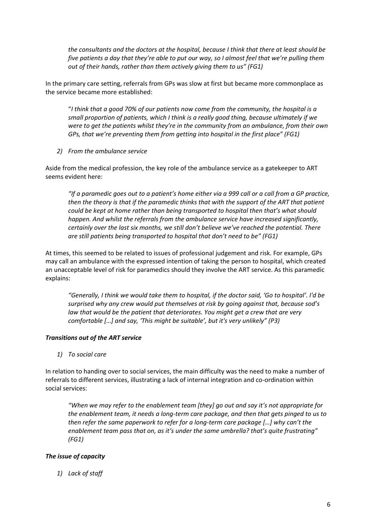*the consultants and the doctors at the hospital, because I think that there at least should be five patients a day that they're able to put our way, so I almost feel that we're pulling them out of their hands, rather than them actively giving them to us" (FG1)*

In the primary care setting, referrals from GPs was slow at first but became more commonplace as the service became more established:

"*I think that a good 70% of our patients now come from the community, the hospital is a small proportion of patients, which I think is a really good thing, because ultimately if we were to get the patients whilst they're in the community from an ambulance, from their own GPs, that we're preventing them from getting into hospital in the first place" (FG1)*

*2) From the ambulance service*

Aside from the medical profession, the key role of the ambulance service as a gatekeeper to ART seems evident here:

*"If a paramedic goes out to a patient's home either via a 999 call or a call from a GP practice, then the theory is that if the paramedic thinks that with the support of the ART that patient could be kept at home rather than being transported to hospital then that's what should happen. And whilst the referrals from the ambulance service have increased significantly, certainly over the last six months, we still don't believe we've reached the potential. There are still patients being transported to hospital that don't need to be" (FG1)*

At times, this seemed to be related to issues of professional judgement and risk. For example, GPs may call an ambulance with the expressed intention of taking the person to hospital, which created an unacceptable level of risk for paramedics should they involve the ART service. As this paramedic explains:

*"Generally, I think we would take them to hospital, if the doctor said, 'Go to hospital'. I'd be surprised why any crew would put themselves at risk by going against that, because sod's law that would be the patient that deteriorates. You might get a crew that are very comfortable […] and say, 'This might be suitable', but it's very unlikely" (P3)*

#### *Transitions out of the ART service*

*1) To social care*

In relation to handing over to social services, the main difficulty was the need to make a number of referrals to different services, illustrating a lack of internal integration and co-ordination within social services:

*"When we may refer to the enablement team [they] go out and say it's not appropriate for the enablement team, it needs a long-term care package, and then that gets pinged to us to then refer the same paperwork to refer for a long-term care package […] why can't the enablement team pass that on, as it's under the same umbrella? that's quite frustrating" (FG1)*

#### *The issue of capacity*

*1) Lack of staff*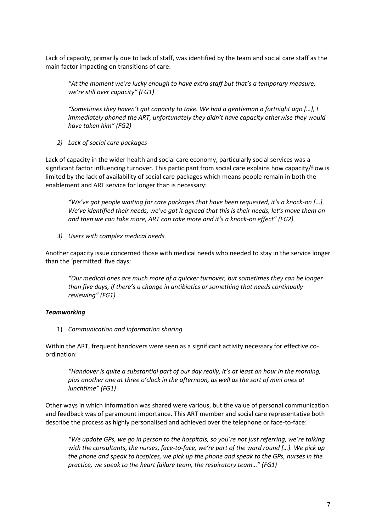Lack of capacity, primarily due to lack of staff, was identified by the team and social care staff as the main factor impacting on transitions of care:

*"At the moment we're lucky enough to have extra staff but that's a temporary measure, we're still over capacity" (FG1)*

*"Sometimes they haven't got capacity to take. We had a gentleman a fortnight ago […], I immediately phoned the ART, unfortunately they didn't have capacity otherwise they would have taken him" (FG2)*

*2) Lack of social care packages*

Lack of capacity in the wider health and social care economy, particularly social services was a significant factor influencing turnover. This participant from social care explains how capacity/flow is limited by the lack of availability of social care packages which means people remain in both the enablement and ART service for longer than is necessary:

*"We've got people waiting for care packages that have been requested, it's a knock-on […]. We've identified their needs, we've got it agreed that this is their needs, let's move them on and then we can take more, ART can take more and it's a knock-on effect" (FG2)*

*3) Users with complex medical needs*

Another capacity issue concerned those with medical needs who needed to stay in the service longer than the 'permitted' five days:

*"Our medical ones are much more of a quicker turnover, but sometimes they can be longer than five days, if there's a change in antibiotics or something that needs continually reviewing" (FG1)*

#### *Teamworking*

1) *Communication and information sharing*

Within the ART, frequent handovers were seen as a significant activity necessary for effective coordination:

*"Handover is quite a substantial part of our day really, it's at least an hour in the morning, plus another one at three o'clock in the afternoon, as well as the sort of mini ones at lunchtime" (FG1)*

Other ways in which information was shared were various, but the value of personal communication and feedback was of paramount importance. This ART member and social care representative both describe the process as highly personalised and achieved over the telephone or face-to-face:

*"We update GPs, we go in person to the hospitals, so you're not just referring, we're talking with the consultants, the nurses, face-to-face, we're part of the ward round […]. We pick up the phone and speak to hospices, we pick up the phone and speak to the GPs, nurses in the practice, we speak to the heart failure team, the respiratory team…" (FG1)*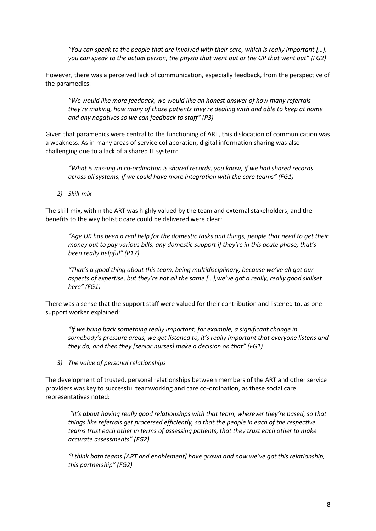*"You can speak to the people that are involved with their care, which is really important […], you can speak to the actual person, the physio that went out or the GP that went out" (FG2)*

However, there was a perceived lack of communication, especially feedback, from the perspective of the paramedics:

*"We would like more feedback, we would like an honest answer of how many referrals they're making, how many of those patients they're dealing with and able to keep at home and any negatives so we can feedback to staff" (P3)*

Given that paramedics were central to the functioning of ART, this dislocation of communication was a weakness. As in many areas of service collaboration, digital information sharing was also challenging due to a lack of a shared IT system:

*"What is missing in co-ordination is shared records, you know, if we had shared records across all systems, if we could have more integration with the care teams" (FG1)*

*2) Skill-mix*

The skill-mix, within the ART was highly valued by the team and external stakeholders, and the benefits to the way holistic care could be delivered were clear:

*"Age UK has been a real help for the domestic tasks and things, people that need to get their money out to pay various bills, any domestic support if they're in this acute phase, that's been really helpful" (P17)*

*"That's a good thing about this team, being multidisciplinary, because we've all got our aspects of expertise, but they're not all the same […],we've got a really, really good skillset here" (FG1)*

There was a sense that the support staff were valued for their contribution and listened to, as one support worker explained:

*"If we bring back something really important, for example, a significant change in somebody's pressure areas, we get listened to, it's really important that everyone listens and they do, and then they [senior nurses] make a decision on that" (FG1)*

*3) The value of personal relationships*

The development of trusted, personal relationships between members of the ART and other service providers was key to successful teamworking and care co-ordination, as these social care representatives noted:

*"It's about having really good relationships with that team, wherever they're based, so that things like referrals get processed efficiently, so that the people in each of the respective teams trust each other in terms of assessing patients, that they trust each other to make accurate assessments" (FG2)*

*"I think both teams [ART and enablement] have grown and now we've got this relationship, this partnership" (FG2)*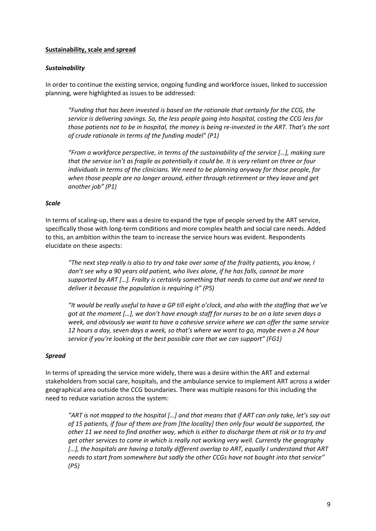#### **Sustainability, scale and spread**

#### *Sustainability*

In order to continue the existing service, ongoing funding and workforce issues, linked to succession planning, were highlighted as issues to be addressed:

*"Funding that has been invested is based on the rationale that certainly for the CCG, the service is delivering savings. So, the less people going into hospital, costing the CCG less for those patients not to be in hospital, the money is being re-invested in the ART. That's the sort of crude rationale in terms of the funding model" (P1)* 

*"From a workforce perspective, in terms of the sustainability of the service […], making sure that the service isn't as fragile as potentially it could be. It is very reliant on three or four individuals in terms of the clinicians. We need to be planning anyway for those people, for when those people are no longer around, either through retirement or they leave and get another job" (P1)*

#### *Scale*

In terms of scaling-up, there was a desire to expand the type of people served by the ART service, specifically those with long-term conditions and more complex health and social care needs. Added to this, an ambition within the team to increase the service hours was evident. Respondents elucidate on these aspects:

*"The next step really is also to try and take over some of the frailty patients, you know, I don't see why a 90 years old patient, who lives alone, if he has falls, cannot be more supported by ART […]. Frailty is certainly something that needs to come out and we need to deliver it because the population is requiring it" (P5)*

*"It would be really useful to have a GP till eight o'clock, and also with the staffing that we've got at the moment […], we don't have enough staff for nurses to be on a late seven days a week, and obviously we want to have a cohesive service where we can offer the same service 12 hours a day, seven days a week, so that's where we want to go, maybe even a 24 hour service if you're looking at the best possible care that we can support" (FG1)*

#### *Spread*

In terms of spreading the service more widely, there was a desire within the ART and external stakeholders from social care, hospitals, and the ambulance service to implement ART across a wider geographical area outside the CCG boundaries. There was multiple reasons for this including the need to reduce variation across the system:

*"ART is not mapped to the hospital […] and that means that if ART can only take, let's say out of 15 patients, if four of them are from [the locality] then only four would be supported, the other 11 we need to find another way, which is either to discharge them at risk or to try and get other services to come in which is really not working very well. Currently the geography […], the hospitals are having a totally different overlap to ART, equally I understand that ART needs to start from somewhere but sadly the other CCGs have not bought into that service" (P5)*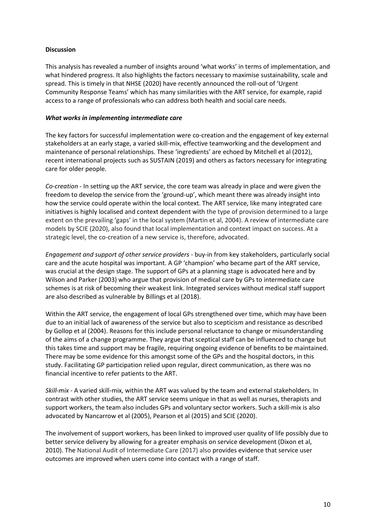#### **Discussion**

This analysis has revealed a number of insights around 'what works' in terms of implementation, and what hindered progress. It also highlights the factors necessary to maximise sustainability, scale and spread. This is timely in that NHSE (2020) have recently announced the roll-out of 'Urgent Community Response Teams' which has many similarities with the ART service, for example, rapid access to a range of professionals who can address both health and social care needs.

#### *What works in implementing intermediate care*

The key factors for successful implementation were co-creation and the engagement of key external stakeholders at an early stage, a varied skill-mix, effective teamworking and the development and maintenance of personal relationships. These 'ingredients' are echoed by Mitchell et al (2012), recent international projects such as SUSTAIN (2019) and others as factors necessary for integrating care for older people.

*Co-creation* - In setting up the ART service, the core team was already in place and were given the freedom to develop the service from the 'ground-up', which meant there was already insight into how the service could operate within the local context. The ART service, like many integrated care initiatives is highly localised and context dependent with the type of provision determined to a large extent on the prevailing 'gaps' in the local system (Martin et al, 2004). A review of intermediate care models by SCIE (2020), also found that local implementation and context impact on success. At a strategic level, the co-creation of a new service is, therefore, advocated.

*Engagement and support of other service providers* - buy-in from key stakeholders, particularly social care and the acute hospital was important. A GP 'champion' who became part of the ART service, was crucial at the design stage. The support of GPs at a planning stage is advocated here and by Wilson and Parker (2003) who argue that provision of medical care by GPs to intermediate care schemes is at risk of becoming their weakest link. Integrated services without medical staff support are also described as vulnerable by Billings et al (2018).

Within the ART service, the engagement of local GPs strengthened over time, which may have been due to an initial lack of awareness of the service but also to scepticism and resistance as described by Gollop et al (2004). Reasons for this include personal reluctance to change or misunderstanding of the aims of a change programme. They argue that sceptical staff can be influenced to change but this takes time and support may be fragile, requiring ongoing evidence of benefits to be maintained. There may be some evidence for this amongst some of the GPs and the hospital doctors, in this study. Facilitating GP participation relied upon regular, direct communication, as there was no financial incentive to refer patients to the ART.

*Skill-mix* - A varied skill-mix, within the ART was valued by the team and external stakeholders. In contrast with other studies, the ART service seems unique in that as well as nurses, therapists and support workers, the team also includes GPs and voluntary sector workers. Such a skill-mix is also advocated by Nancarrow et al (2005), Pearson et al (2015) and SCIE (2020).

The involvement of support workers, has been linked to improved user quality of life possibly due to better service delivery by allowing for a greater emphasis on service development (Dixon et al, 2010). The National Audit of Intermediate Care (2017) also provides evidence that service user outcomes are improved when users come into contact with a range of staff.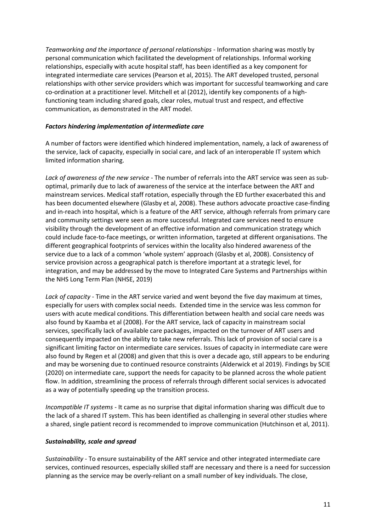*Teamworking and the importance of personal relationships -* Information sharing was mostly by personal communication which facilitated the development of relationships. Informal working relationships, especially with acute hospital staff, has been identified as a key component for integrated intermediate care services (Pearson et al, 2015). The ART developed trusted, personal relationships with other service providers which was important for successful teamworking and care co-ordination at a practitioner level. Mitchell et al (2012), identify key components of a highfunctioning team including shared goals, clear roles, mutual trust and respect, and effective communication, as demonstrated in the ART model.

#### *Factors hindering implementation of intermediate care*

A number of factors were identified which hindered implementation, namely, a lack of awareness of the service, lack of capacity, especially in social care, and lack of an interoperable IT system which limited information sharing.

*Lack of awareness of the new service* - The number of referrals into the ART service was seen as suboptimal, primarily due to lack of awareness of the service at the interface between the ART and mainstream services. Medical staff rotation, especially through the ED further exacerbated this and has been documented elsewhere (Glasby et al, 2008). These authors advocate proactive case-finding and in-reach into hospital, which is a feature of the ART service, although referrals from primary care and community settings were seen as more successful. Integrated care services need to ensure visibility through the development of an effective information and communication strategy which could include face-to-face meetings, or written information, targeted at different organisations. The different geographical footprints of services within the locality also hindered awareness of the service due to a lack of a common 'whole system' approach (Glasby et al, 2008). Consistency of service provision across a geographical patch is therefore important at a strategic level, for integration, and may be addressed by the move to Integrated Care Systems and Partnerships within the NHS Long Term Plan (NHSE, 2019)

*Lack of capacity* - Time in the ART service varied and went beyond the five day maximum at times, especially for users with complex social needs. Extended time in the service was less common for users with acute medical conditions. This differentiation between health and social care needs was also found by Kaamba et al (2008). For the ART service, lack of capacity in mainstream social services, specifically lack of available care packages, impacted on the turnover of ART users and consequently impacted on the ability to take new referrals. This lack of provision of social care is a significant limiting factor on intermediate care services. Issues of capacity in intermediate care were also found by Regen et al (2008) and given that this is over a decade ago, still appears to be enduring and may be worsening due to continued resource constraints (Alderwick et al 2019). Findings by SCIE (2020) on intermediate care, support the needs for capacity to be planned across the whole patient flow. In addition, streamlining the process of referrals through different social services is advocated as a way of potentially speeding up the transition process.

*Incompatible IT systems* - It came as no surprise that digital information sharing was difficult due to the lack of a shared IT system. This has been identified as challenging in several other studies where a shared, single patient record is recommended to improve communication (Hutchinson et al, 2011).

#### *Sustainability, scale and spread*

*Sustainability* - To ensure sustainability of the ART service and other integrated intermediate care services, continued resources, especially skilled staff are necessary and there is a need for succession planning as the service may be overly-reliant on a small number of key individuals. The close,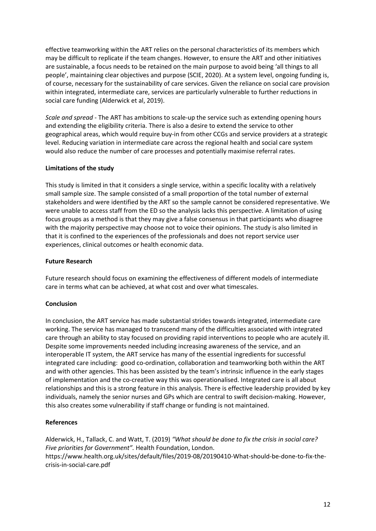effective teamworking within the ART relies on the personal characteristics of its members which may be difficult to replicate if the team changes. However, to ensure the ART and other initiatives are sustainable, a focus needs to be retained on the main purpose to avoid being 'all things to all people', maintaining clear objectives and purpose (SCIE, 2020). At a system level, ongoing funding is, of course, necessary for the sustainability of care services. Given the reliance on social care provision within integrated, intermediate care, services are particularly vulnerable to further reductions in social care funding (Alderwick et al, 2019).

*Scale and spread -* The ART has ambitions to scale-up the service such as extending opening hours and extending the eligibility criteria. There is also a desire to extend the service to other geographical areas, which would require buy-in from other CCGs and service providers at a strategic level. Reducing variation in intermediate care across the regional health and social care system would also reduce the number of care processes and potentially maximise referral rates.

#### **Limitations of the study**

This study is limited in that it considers a single service, within a specific locality with a relatively small sample size. The sample consisted of a small proportion of the total number of external stakeholders and were identified by the ART so the sample cannot be considered representative. We were unable to access staff from the ED so the analysis lacks this perspective. A limitation of using focus groups as a method is that they may give a false consensus in that participants who disagree with the majority perspective may choose not to voice their opinions. The study is also limited in that it is confined to the experiences of the professionals and does not report service user experiences, clinical outcomes or health economic data.

#### **Future Research**

Future research should focus on examining the effectiveness of different models of intermediate care in terms what can be achieved, at what cost and over what timescales.

#### **Conclusion**

In conclusion, the ART service has made substantial strides towards integrated, intermediate care working. The service has managed to transcend many of the difficulties associated with integrated care through an ability to stay focused on providing rapid interventions to people who are acutely ill. Despite some improvements needed including increasing awareness of the service, and an interoperable IT system, the ART service has many of the essential ingredients for successful integrated care including: good co-ordination, collaboration and teamworking both within the ART and with other agencies. This has been assisted by the team's intrinsic influence in the early stages of implementation and the co-creative way this was operationalised. Integrated care is all about relationships and this is a strong feature in this analysis. There is effective leadership provided by key individuals, namely the senior nurses and GPs which are central to swift decision-making. However, this also creates some vulnerability if staff change or funding is not maintained.

#### **References**

Alderwick, H., Tallack, C. and Watt, T. (2019) *"What should be done to fix the crisis in social care? Five priorities for Government".* Health Foundation, London. [https://www.health.org.uk/sites/default/files/2019-08/20190410-What-should-be-done-to-fix-the](https://www.health.org.uk/sites/default/files/2019-08/20190410-What-should-be-done-to-fix-the-crisis-in-social-care.pdf)[crisis-in-social-care.pdf](https://www.health.org.uk/sites/default/files/2019-08/20190410-What-should-be-done-to-fix-the-crisis-in-social-care.pdf)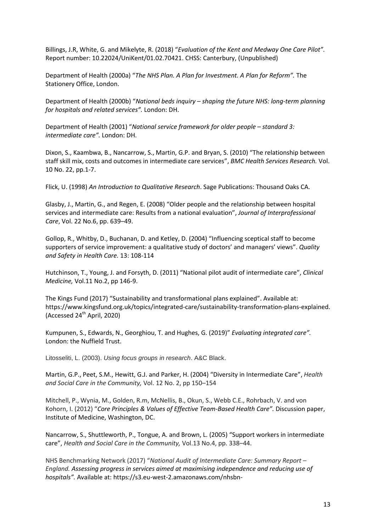Billings, J.R, White, G. and Mikelyte, R. (2018) "*Evaluation of the Kent and Medway One Care Pilot".*  Report number: 10.22024/UniKent/01.02.70421. CHSS: Canterbury, (Unpublished)

Department of Health (2000a) "*The NHS Plan. A Plan for Investment. A Plan for Reform".* The Stationery Office, London.

Department of Health (2000b) "*National beds inquiry – shaping the future NHS: long-term planning for hospitals and related services".* London: DH.

Department of Health (2001) "*National service framework for older people – standard 3: intermediate care".* London: DH.

Dixon, S., Kaambwa, B., Nancarrow, S., Martin, G.P. and Bryan, S. (2010) "The relationship between staff skill mix, costs and outcomes in intermediate care services", *BMC Health Services Research.* Vol. 10 No. 22, pp.1-7.

Flick, U. (1998) *An Introduction to Qualitative Research*. Sage Publications: Thousand Oaks CA.

Glasby, J., Martin, G., and Regen, E. (2008) "Older people and the relationship between hospital services and intermediate care: Results from a national evaluation", *Journal of Interprofessional Care*, Vol. 22 No.6, pp. 639–49.

Gollop, R., Whitby, D., Buchanan, D. and Ketley, D. (2004) "Influencing sceptical staff to become supporters of service improvement: a qualitative study of doctors' and managers' views". *Quality and Safety in Health Care.* 13: 108-114

Hutchinson, T., Young, J. and Forsyth, D. (2011) "National pilot audit of intermediate care", *Clinical Medicine,* Vol.11 No.2, pp 146-9.

The Kings Fund (2017) "Sustainability and transformational plans explained". Available at: [https://www.kingsfund.org.uk/topics/integrated-care/sustainability-transformation-plans-explained.](https://www.kingsfund.org.uk/topics/integrated-care/sustainability-transformation-plans-explained) (Accessed 24th April, 2020)

Kumpunen, S., Edwards, N., Georghiou, T. and Hughes, G. (2019)" *Evaluating integrated care".*  London: the Nuffield Trust.

Litosseliti, L. (2003). *Using focus groups in research*. A&C Black.

Martin, G.P., Peet, S.M., Hewitt, G.J. and Parker, H. (2004) "Diversity in Intermediate Care", *Health and Social Care in the Community,* Vol. 12 No. 2, pp 150–154

Mitchell, P., Wynia, M., Golden, R.m, McNellis, B., Okun, S., Webb C.E., Rohrbach, V. and von Kohorn, I. (2012) "*Core Principles & Values of Effective Team-Based Health Care".* Discussion paper, Institute of Medicine, Washington, DC.

Nancarrow, S., Shuttleworth, P., Tongue, A. and Brown, L. (2005) "Support workers in intermediate care", *Health and Social Care in the Community,* Vol.13 No.4, pp. 338–44.

NHS Benchmarking Network (2017) "*National Audit of Intermediate Care: Summary Report – England. Assessing progress in services aimed at maximising independence and reducing use of hospitals".* Available at: [https://s3.eu-west-2.amazonaws.com/nhsbn-](https://s3.eu-west-2.amazonaws.com/nhsbn-static/NAIC%20(Providers)/2017/NAIC%20England%20Summary%20Report%20-%20upload%202.pdf)